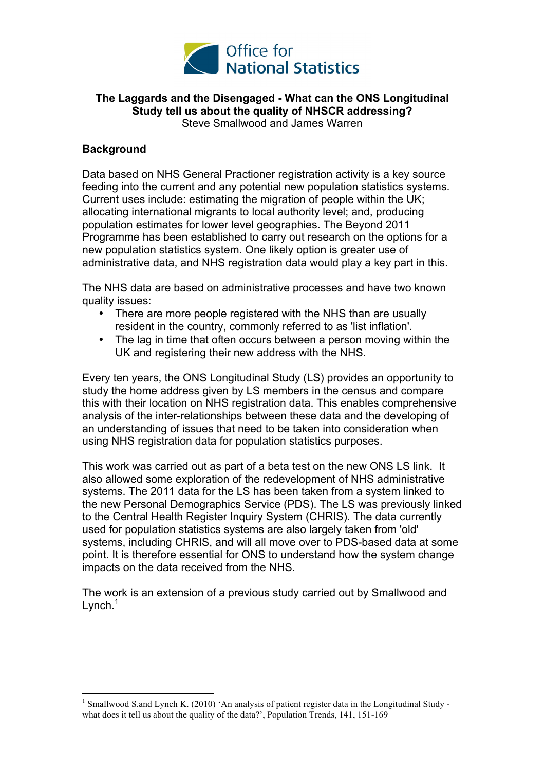

## **The Laggards and the Disengaged - What can the ONS Longitudinal Study tell us about the quality of NHSCR addressing?** Steve Smallwood and James Warren

## **Background**

Data based on NHS General Practioner registration activity is a key source feeding into the current and any potential new population statistics systems. Current uses include: estimating the migration of people within the UK; allocating international migrants to local authority level; and, producing population estimates for lower level geographies. The Beyond 2011 Programme has been established to carry out research on the options for a new population statistics system. One likely option is greater use of administrative data, and NHS registration data would play a key part in this.

The NHS data are based on administrative processes and have two known quality issues:

- There are more people registered with the NHS than are usually resident in the country, commonly referred to as 'list inflation'.
- The lag in time that often occurs between a person moving within the UK and registering their new address with the NHS.

Every ten years, the ONS Longitudinal Study (LS) provides an opportunity to study the home address given by LS members in the census and compare this with their location on NHS registration data. This enables comprehensive analysis of the inter-relationships between these data and the developing of an understanding of issues that need to be taken into consideration when using NHS registration data for population statistics purposes.

This work was carried out as part of a beta test on the new ONS LS link. It also allowed some exploration of the redevelopment of NHS administrative systems. The 2011 data for the LS has been taken from a system linked to the new Personal Demographics Service (PDS). The LS was previously linked to the Central Health Register Inquiry System (CHRIS). The data currently used for population statistics systems are also largely taken from 'old' systems, including CHRIS, and will all move over to PDS-based data at some point. It is therefore essential for ONS to understand how the system change impacts on the data received from the NHS.

The work is an extension of a previous study carried out by Smallwood and Lynch. $<sup>1</sup>$ </sup>

<sup>&</sup>lt;sup>1</sup> Smallwood S.and Lynch K. (2010) 'An analysis of patient register data in the Longitudinal Study what does it tell us about the quality of the data?', Population Trends, 141, 151-169